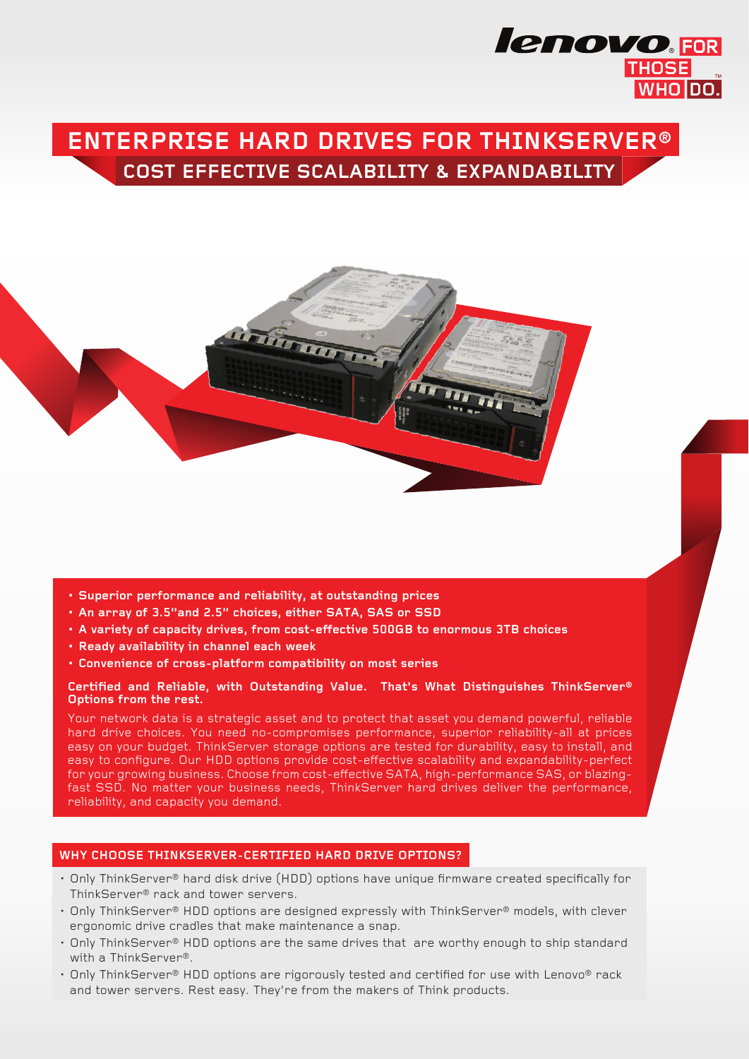# **Cost Effective Scalability & Expandability Enterprise Hard Drives for ThinkServer®**

**lenovo**.FOR

**THOSE** 



- **• Superior performance and reliability, at outstanding prices**
- **• An array of 3.5"and 2.5" choices, either SATA, SAS or SSD**
- **• A variety of capacity drives, from cost-effective 500GB to enormous 3TB choices**
- **• Ready availability in channel each week**
- **• Convenience of cross-platform compatibility on most series**

#### **Certified and Reliable, with Outstanding Value. That's What Distinguishes ThinkServer® Options from the rest.**

Your network data is a strategic asset and to protect that asset you demand powerful, reliable hard drive choices. You need no-compromises performance, superior reliability-all at prices easy on your budget. ThinkServer storage options are tested for durability, easy to install, and easy to configure. Our HDD options provide cost-effective scalability and expandability-perfect for your growing business. Choose from cost-effective SATA, high-performance SAS, or blazingfast SSD. No matter your business needs, ThinkServer hard drives deliver the performance, reliability, and capacity you demand.

#### **Why Choose ThinkServer-certified Hard Drive Options?**

- Only ThinkServer® hard disk drive (HDD) options have unique firmware created specifically for ThinkServer® rack and tower servers.
- • Only ThinkServer® HDD options are designed expressly with ThinkServer® models, with clever ergonomic drive cradles that make maintenance a snap.
- • Only ThinkServer® HDD options are the same drives that are worthy enough to ship standard with a ThinkServer®.
- • Only ThinkServer® HDD options are rigorously tested and certified for use with Lenovo® rack and tower servers. Rest easy. They're from the makers of Think products.